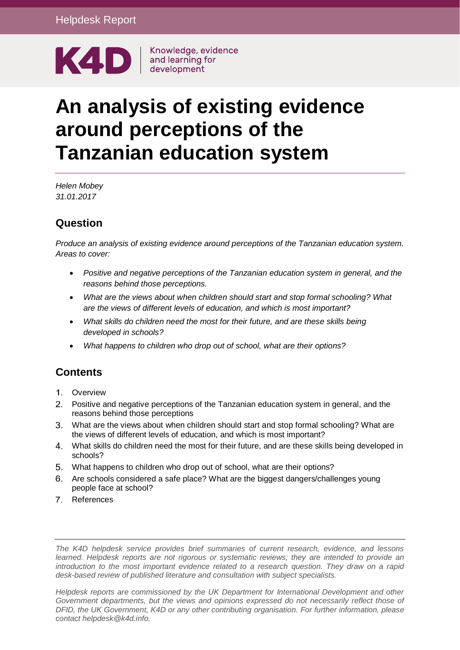

Knowledge, evidence

# **An analysis of existing evidence around perceptions of the Tanzanian education system**

*Helen Mobey 31.01.2017*

### **Question**

*Produce an analysis of existing evidence around perceptions of the Tanzanian education system. Areas to cover:* 

- *Positive and negative perceptions of the Tanzanian education system in general, and the reasons behind those perceptions.*
- *What are the views about when children should start and stop formal schooling? What are the views of different levels of education, and which is most important?*
- *What skills do children need the most for their future, and are these skills being developed in schools?*
- *What happens to children who drop out of school, what are their options?*

## **Contents**

- [Overview](#page-1-0)
- [Positive and negative perceptions of the Tanzanian education system in general, and the](#page-1-1)  [reasons behind those perceptions](#page-1-1)
- [What are the views about when children should start and stop formal schooling? What are](#page-7-0)  [the views of different levels of education, and which is most important?](#page-7-0)
- [What skills do children need the most for their future, and are these skills being developed in](#page-7-1)  [schools?](#page-7-1)
- [What happens to children who drop out of school, what are their options?](#page-9-0)
- [Are schools considered a safe place? What are the biggest dangers/challenges young](#page-9-1)  [people face at school?](#page-9-1)
- [References](#page-10-0)

*The K4D helpdesk service provides brief summaries of current research, evidence, and lessons learned. Helpdesk reports are not rigorous or systematic reviews; they are intended to provide an introduction to the most important evidence related to a research question. They draw on a rapid desk-based review of published literature and consultation with subject specialists.* 

*Helpdesk reports are commissioned by the UK Department for International Development and other*  Government departments, but the views and opinions expressed do not necessarily reflect those of *DFID, the UK Government, K4D or any other contributing organisation. For further information, please contact helpdesk@k4d.info.*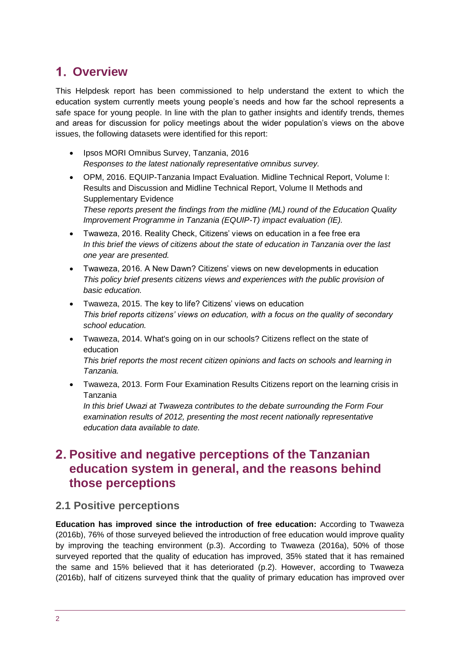# <span id="page-1-0"></span>**Overview**

This Helpdesk report has been commissioned to help understand the extent to which the education system currently meets young people's needs and how far the school represents a safe space for young people. In line with the plan to gather insights and identify trends, themes and areas for discussion for policy meetings about the wider population's views on the above issues, the following datasets were identified for this report:

- Ipsos MORI Omnibus Survey, Tanzania, 2016 *Responses to the latest nationally representative omnibus survey.*
- OPM, 2016. EQUIP-Tanzania Impact Evaluation. Midline Technical Report, Volume I: Results and Discussion and Midline Technical Report, Volume II Methods and Supplementary Evidence *These reports present the findings from the midline (ML) round of the Education Quality*

*Improvement Programme in Tanzania (EQUIP-T) impact evaluation (IE).* • Twaweza, 2016. Reality Check, Citizens' views on education in a fee free era

- *In this brief the views of citizens about the state of education in Tanzania over the last one year are presented.*
- Twaweza, 2016. A New Dawn? Citizens' views on new developments in education *This policy brief presents citizens views and experiences with the public provision of basic education.*
- Twaweza, 2015. The key to life? Citizens' views on education *This brief reports citizens' views on education, with a focus on the quality of secondary school education.*
- Twaweza, 2014. What's going on in our schools? Citizens reflect on the state of education *This brief reports the most recent citizen opinions and facts on schools and learning in*

*Tanzania.*

• Twaweza, 2013. Form Four Examination Results Citizens report on the learning crisis in Tanzania

*In this brief Uwazi at Twaweza contributes to the debate surrounding the Form Four examination results of 2012, presenting the most recent nationally representative education data available to date.* 

# <span id="page-1-1"></span>**Positive and negative perceptions of the Tanzanian education system in general, and the reasons behind those perceptions**

### **2.1 Positive perceptions**

**Education has improved since the introduction of free education:** According to Twaweza (2016b), 76% of those surveyed believed the introduction of free education would improve quality by improving the teaching environment (p.3). According to Twaweza (2016a), 50% of those surveyed reported that the quality of education has improved, 35% stated that it has remained the same and 15% believed that it has deteriorated (p.2). However, according to Twaweza (2016b), half of citizens surveyed think that the quality of primary education has improved over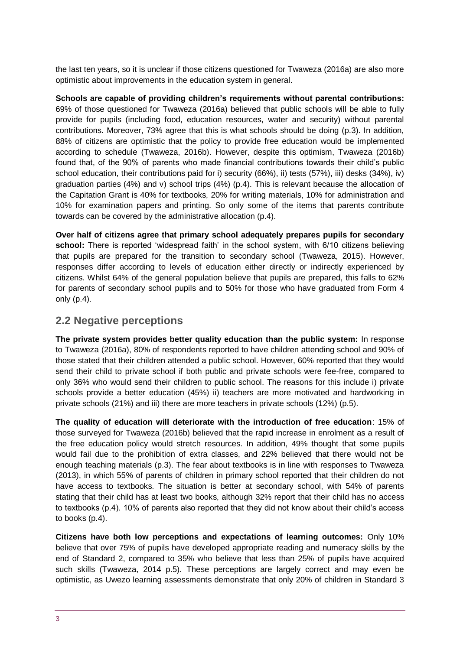the last ten years, so it is unclear if those citizens questioned for Twaweza (2016a) are also more optimistic about improvements in the education system in general.

**Schools are capable of providing children's requirements without parental contributions:**  69% of those questioned for Twaweza (2016a) believed that public schools will be able to fully provide for pupils (including food, education resources, water and security) without parental contributions. Moreover, 73% agree that this is what schools should be doing (p.3). In addition, 88% of citizens are optimistic that the policy to provide free education would be implemented according to schedule (Twaweza, 2016b). However, despite this optimism, Twaweza (2016b) found that, of the 90% of parents who made financial contributions towards their child's public school education, their contributions paid for i) security (66%), ii) tests (57%), iii) desks (34%), iv) graduation parties  $(4%)$  and v) school trips  $(4%)$  (p.4). This is relevant because the allocation of the Capitation Grant is 40% for textbooks, 20% for writing materials, 10% for administration and 10% for examination papers and printing. So only some of the items that parents contribute towards can be covered by the administrative allocation (p.4).

**Over half of citizens agree that primary school adequately prepares pupils for secondary school:** There is reported 'widespread faith' in the school system, with 6/10 citizens believing that pupils are prepared for the transition to secondary school (Twaweza, 2015). However, responses differ according to levels of education either directly or indirectly experienced by citizens. Whilst 64% of the general population believe that pupils are prepared, this falls to 62% for parents of secondary school pupils and to 50% for those who have graduated from Form 4 only (p.4).

### **2.2 Negative perceptions**

**The private system provides better quality education than the public system:** In response to Twaweza (2016a), 80% of respondents reported to have children attending school and 90% of those stated that their children attended a public school. However, 60% reported that they would send their child to private school if both public and private schools were fee-free, compared to only 36% who would send their children to public school. The reasons for this include i) private schools provide a better education (45%) ii) teachers are more motivated and hardworking in private schools (21%) and iii) there are more teachers in private schools (12%) (p.5).

**The quality of education will deteriorate with the introduction of free education**: 15% of those surveyed for Twaweza (2016b) believed that the rapid increase in enrolment as a result of the free education policy would stretch resources. In addition, 49% thought that some pupils would fail due to the prohibition of extra classes, and 22% believed that there would not be enough teaching materials (p.3). The fear about textbooks is in line with responses to Twaweza (2013), in which 55% of parents of children in primary school reported that their children do not have access to textbooks. The situation is better at secondary school, with 54% of parents stating that their child has at least two books, although 32% report that their child has no access to textbooks (p.4). 10% of parents also reported that they did not know about their child's access to books (p.4).

**Citizens have both low perceptions and expectations of learning outcomes:** Only 10% believe that over 75% of pupils have developed appropriate reading and numeracy skills by the end of Standard 2, compared to 35% who believe that less than 25% of pupils have acquired such skills (Twaweza, 2014 p.5). These perceptions are largely correct and may even be optimistic, as Uwezo learning assessments demonstrate that only 20% of children in Standard 3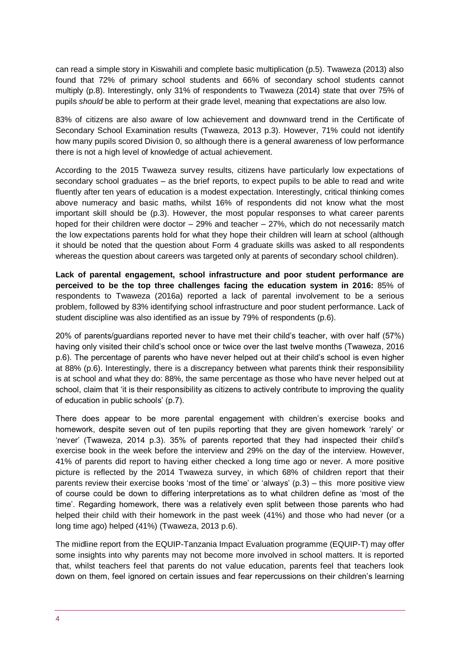can read a simple story in Kiswahili and complete basic multiplication (p.5). Twaweza (2013) also found that 72% of primary school students and 66% of secondary school students cannot multiply (p.8). Interestingly, only 31% of respondents to Twaweza (2014) state that over 75% of pupils *should* be able to perform at their grade level, meaning that expectations are also low.

83% of citizens are also aware of low achievement and downward trend in the Certificate of Secondary School Examination results (Twaweza, 2013 p.3). However, 71% could not identify how many pupils scored Division 0, so although there is a general awareness of low performance there is not a high level of knowledge of actual achievement.

According to the 2015 Twaweza survey results, citizens have particularly low expectations of secondary school graduates – as the brief reports, to expect pupils to be able to read and write fluently after ten years of education is a modest expectation. Interestingly, critical thinking comes above numeracy and basic maths, whilst 16% of respondents did not know what the most important skill should be (p.3). However, the most popular responses to what career parents hoped for their children were doctor – 29% and teacher – 27%, which do not necessarily match the low expectations parents hold for what they hope their children will learn at school (although it should be noted that the question about Form 4 graduate skills was asked to all respondents whereas the question about careers was targeted only at parents of secondary school children).

**Lack of parental engagement, school infrastructure and poor student performance are perceived to be the top three challenges facing the education system in 2016:** 85% of respondents to Twaweza (2016a) reported a lack of parental involvement to be a serious problem, followed by 83% identifying school infrastructure and poor student performance. Lack of student discipline was also identified as an issue by 79% of respondents (p.6).

20% of parents/guardians reported never to have met their child's teacher, with over half (57%) having only visited their child's school once or twice over the last twelve months (Twaweza, 2016 p.6). The percentage of parents who have never helped out at their child's school is even higher at 88% (p.6). Interestingly, there is a discrepancy between what parents think their responsibility is at school and what they do: 88%, the same percentage as those who have never helped out at school, claim that 'it is their responsibility as citizens to actively contribute to improving the quality of education in public schools' (p.7).

There does appear to be more parental engagement with children's exercise books and homework, despite seven out of ten pupils reporting that they are given homework 'rarely' or 'never' (Twaweza, 2014 p.3). 35% of parents reported that they had inspected their child's exercise book in the week before the interview and 29% on the day of the interview. However, 41% of parents did report to having either checked a long time ago or never. A more positive picture is reflected by the 2014 Twaweza survey, in which 68% of children report that their parents review their exercise books 'most of the time' or 'always' (p.3) – this more positive view of course could be down to differing interpretations as to what children define as 'most of the time'. Regarding homework, there was a relatively even split between those parents who had helped their child with their homework in the past week (41%) and those who had never (or a long time ago) helped (41%) (Twaweza, 2013 p.6).

The midline report from the EQUIP-Tanzania Impact Evaluation programme (EQUIP-T) may offer some insights into why parents may not become more involved in school matters. It is reported that, whilst teachers feel that parents do not value education, parents feel that teachers look down on them, feel ignored on certain issues and fear repercussions on their children's learning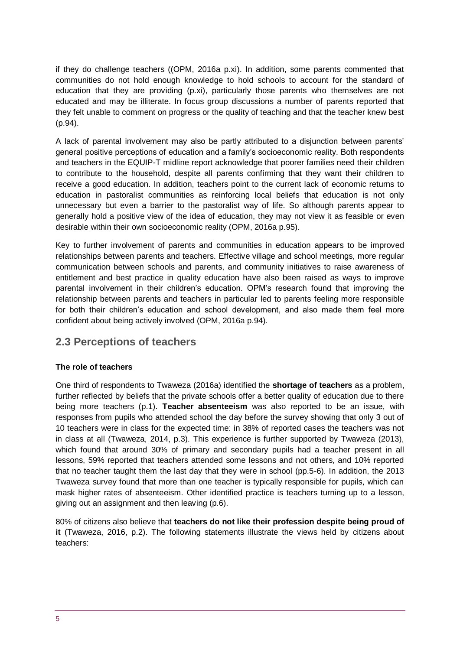if they do challenge teachers ((OPM, 2016a p.xi). In addition, some parents commented that communities do not hold enough knowledge to hold schools to account for the standard of education that they are providing (p.xi), particularly those parents who themselves are not educated and may be illiterate. In focus group discussions a number of parents reported that they felt unable to comment on progress or the quality of teaching and that the teacher knew best (p.94).

A lack of parental involvement may also be partly attributed to a disjunction between parents' general positive perceptions of education and a family's socioeconomic reality. Both respondents and teachers in the EQUIP-T midline report acknowledge that poorer families need their children to contribute to the household, despite all parents confirming that they want their children to receive a good education. In addition, teachers point to the current lack of economic returns to education in pastoralist communities as reinforcing local beliefs that education is not only unnecessary but even a barrier to the pastoralist way of life. So although parents appear to generally hold a positive view of the idea of education, they may not view it as feasible or even desirable within their own socioeconomic reality (OPM, 2016a p.95).

Key to further involvement of parents and communities in education appears to be improved relationships between parents and teachers. Effective village and school meetings, more regular communication between schools and parents, and community initiatives to raise awareness of entitlement and best practice in quality education have also been raised as ways to improve parental involvement in their children's education. OPM's research found that improving the relationship between parents and teachers in particular led to parents feeling more responsible for both their children's education and school development, and also made them feel more confident about being actively involved (OPM, 2016a p.94).

### **2.3 Perceptions of teachers**

#### **The role of teachers**

One third of respondents to Twaweza (2016a) identified the **shortage of teachers** as a problem, further reflected by beliefs that the private schools offer a better quality of education due to there being more teachers (p.1). **Teacher absenteeism** was also reported to be an issue, with responses from pupils who attended school the day before the survey showing that only 3 out of 10 teachers were in class for the expected time: in 38% of reported cases the teachers was not in class at all (Twaweza, 2014, p.3). This experience is further supported by Twaweza (2013), which found that around 30% of primary and secondary pupils had a teacher present in all lessons, 59% reported that teachers attended some lessons and not others, and 10% reported that no teacher taught them the last day that they were in school (pp.5-6). In addition, the 2013 Twaweza survey found that more than one teacher is typically responsible for pupils, which can mask higher rates of absenteeism. Other identified practice is teachers turning up to a lesson, giving out an assignment and then leaving (p.6).

80% of citizens also believe that **teachers do not like their profession despite being proud of it** (Twaweza, 2016, p.2). The following statements illustrate the views held by citizens about teachers: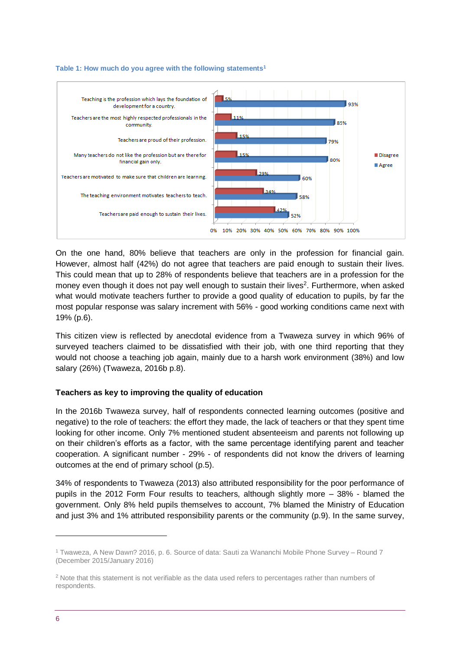

#### **Table 1: How much do you agree with the following statements<sup>1</sup>**

On the one hand, 80% believe that teachers are only in the profession for financial gain. However, almost half (42%) do not agree that teachers are paid enough to sustain their lives. This could mean that up to 28% of respondents believe that teachers are in a profession for the money even though it does not pay well enough to sustain their lives<sup>2</sup>. Furthermore, when asked what would motivate teachers further to provide a good quality of education to pupils, by far the most popular response was salary increment with 56% - good working conditions came next with 19% (p.6).

This citizen view is reflected by anecdotal evidence from a Twaweza survey in which 96% of surveyed teachers claimed to be dissatisfied with their job, with one third reporting that they would not choose a teaching job again, mainly due to a harsh work environment (38%) and low salary (26%) (Twaweza, 2016b p.8).

#### **Teachers as key to improving the quality of education**

In the 2016b Twaweza survey, half of respondents connected learning outcomes (positive and negative) to the role of teachers: the effort they made, the lack of teachers or that they spent time looking for other income. Only 7% mentioned student absenteeism and parents not following up on their children's efforts as a factor, with the same percentage identifying parent and teacher cooperation. A significant number - 29% - of respondents did not know the drivers of learning outcomes at the end of primary school (p.5).

34% of respondents to Twaweza (2013) also attributed responsibility for the poor performance of pupils in the 2012 Form Four results to teachers, although slightly more – 38% - blamed the government. Only 8% held pupils themselves to account, 7% blamed the Ministry of Education and just 3% and 1% attributed responsibility parents or the community (p.9). In the same survey,

1

<sup>1</sup> Twaweza, A New Dawn? 2016, p. 6. Source of data: Sauti za Wananchi Mobile Phone Survey – Round 7 (December 2015/January 2016)

<sup>&</sup>lt;sup>2</sup> Note that this statement is not verifiable as the data used refers to percentages rather than numbers of respondents.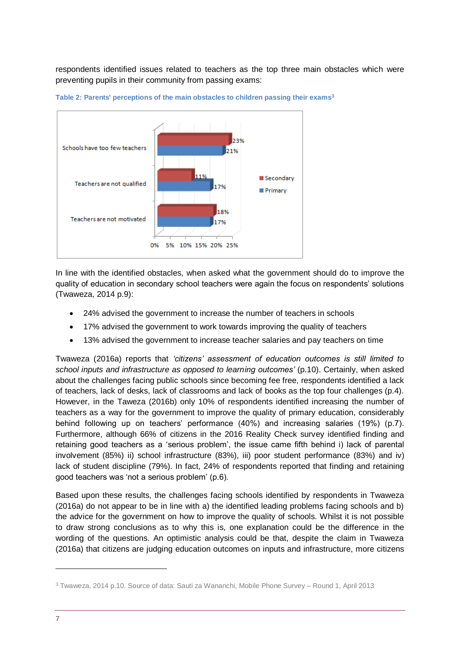respondents identified issues related to teachers as the top three main obstacles which were preventing pupils in their community from passing exams:



**Table 2: Parents' perceptions of the main obstacles to children passing their exams<sup>3</sup>**

In line with the identified obstacles, when asked what the government should do to improve the quality of education in secondary school teachers were again the focus on respondents' solutions (Twaweza, 2014 p.9):

- 24% advised the government to increase the number of teachers in schools
- 17% advised the government to work towards improving the quality of teachers
- 13% advised the government to increase teacher salaries and pay teachers on time

Twaweza (2016a) reports that *'citizens' assessment of education outcomes is still limited to school inputs and infrastructure as opposed to learning outcomes'* (p.10). Certainly, when asked about the challenges facing public schools since becoming fee free, respondents identified a lack of teachers, lack of desks, lack of classrooms and lack of books as the top four challenges (p.4). However, in the Taweza (2016b) only 10% of respondents identified increasing the number of teachers as a way for the government to improve the quality of primary education, considerably behind following up on teachers' performance (40%) and increasing salaries (19%) (p.7). Furthermore, although 66% of citizens in the 2016 Reality Check survey identified finding and retaining good teachers as a 'serious problem', the issue came fifth behind i) lack of parental involvement (85%) ii) school infrastructure (83%), iii) poor student performance (83%) and iv) lack of student discipline (79%). In fact, 24% of respondents reported that finding and retaining good teachers was 'not a serious problem' (p.6).

Based upon these results, the challenges facing schools identified by respondents in Twaweza (2016a) do not appear to be in line with a) the identified leading problems facing schools and b) the advice for the government on how to improve the quality of schools. Whilst it is not possible to draw strong conclusions as to why this is, one explanation could be the difference in the wording of the questions. An optimistic analysis could be that, despite the claim in Twaweza (2016a) that citizens are judging education outcomes on inputs and infrastructure, more citizens

-

<sup>3</sup> Twaweza, 2014 p.10. Source of data: Sauti za Wananchi, Mobile Phone Survey – Round 1, April 2013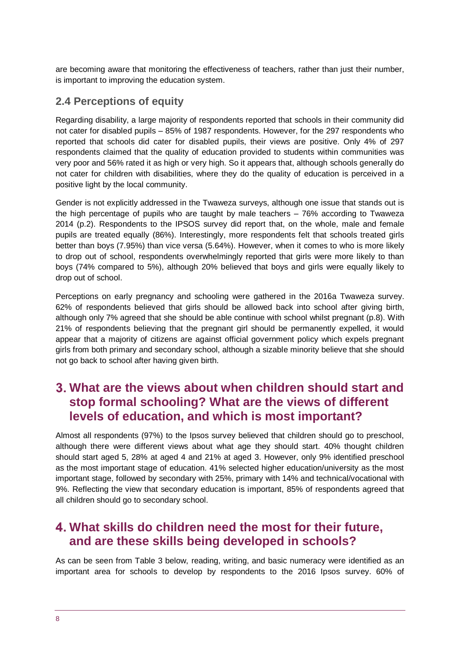are becoming aware that monitoring the effectiveness of teachers, rather than just their number, is important to improving the education system.

### **2.4 Perceptions of equity**

Regarding disability, a large majority of respondents reported that schools in their community did not cater for disabled pupils – 85% of 1987 respondents. However, for the 297 respondents who reported that schools did cater for disabled pupils, their views are positive. Only 4% of 297 respondents claimed that the quality of education provided to students within communities was very poor and 56% rated it as high or very high. So it appears that, although schools generally do not cater for children with disabilities, where they do the quality of education is perceived in a positive light by the local community.

Gender is not explicitly addressed in the Twaweza surveys, although one issue that stands out is the high percentage of pupils who are taught by male teachers – 76% according to Twaweza 2014 (p.2). Respondents to the IPSOS survey did report that, on the whole, male and female pupils are treated equally (86%). Interestingly, more respondents felt that schools treated girls better than boys (7.95%) than vice versa (5.64%). However, when it comes to who is more likely to drop out of school, respondents overwhelmingly reported that girls were more likely to than boys (74% compared to 5%), although 20% believed that boys and girls were equally likely to drop out of school.

Perceptions on early pregnancy and schooling were gathered in the 2016a Twaweza survey. 62% of respondents believed that girls should be allowed back into school after giving birth, although only 7% agreed that she should be able continue with school whilst pregnant (p.8). With 21% of respondents believing that the pregnant girl should be permanently expelled, it would appear that a majority of citizens are against official government policy which expels pregnant girls from both primary and secondary school, although a sizable minority believe that she should not go back to school after having given birth.

# <span id="page-7-0"></span>**What are the views about when children should start and stop formal schooling? What are the views of different levels of education, and which is most important?**

Almost all respondents (97%) to the Ipsos survey believed that children should go to preschool, although there were different views about what age they should start. 40% thought children should start aged 5, 28% at aged 4 and 21% at aged 3. However, only 9% identified preschool as the most important stage of education. 41% selected higher education/university as the most important stage, followed by secondary with 25%, primary with 14% and technical/vocational with 9%. Reflecting the view that secondary education is important, 85% of respondents agreed that all children should go to secondary school.

# <span id="page-7-1"></span>**What skills do children need the most for their future, and are these skills being developed in schools?**

As can be seen from Table 3 below, reading, writing, and basic numeracy were identified as an important area for schools to develop by respondents to the 2016 Ipsos survey. 60% of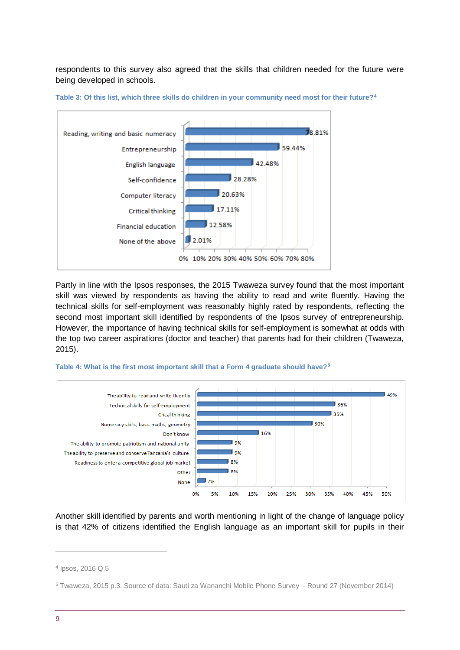respondents to this survey also agreed that the skills that children needed for the future were being developed in schools.



**Table 3: Of this list, which three skills do children in your community need most for their future?<sup>4</sup>**

Partly in line with the Ipsos responses, the 2015 Twaweza survey found that the most important skill was viewed by respondents as having the ability to read and write fluently. Having the technical skills for self-employment was reasonably highly rated by respondents, reflecting the second most important skill identified by respondents of the Ipsos survey of entrepreneurship. However, the importance of having technical skills for self-employment is somewhat at odds with the top two career aspirations (doctor and teacher) that parents had for their children (Twaweza, 2015).



**Table 4: What is the first most important skill that a Form 4 graduate should have?<sup>5</sup>**

Another skill identified by parents and worth mentioning in light of the change of language policy is that 42% of citizens identified the English language as an important skill for pupils in their

1

<sup>4</sup> Ipsos, 2016 Q.5

<sup>5</sup> Twaweza, 2015 p.3. Source of data: Sauti za Wananchi Mobile Phone Survey - Round 27 (November 2014)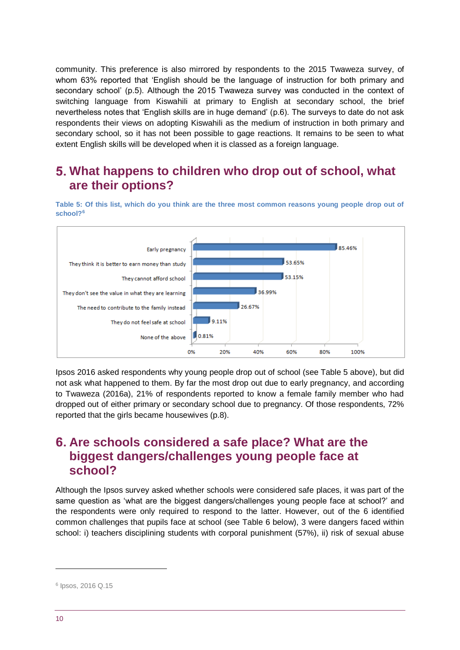community. This preference is also mirrored by respondents to the 2015 Twaweza survey, of whom 63% reported that 'English should be the language of instruction for both primary and secondary school' (p.5). Although the 2015 Twaweza survey was conducted in the context of switching language from Kiswahili at primary to English at secondary school, the brief nevertheless notes that 'English skills are in huge demand' (p.6). The surveys to date do not ask respondents their views on adopting Kiswahili as the medium of instruction in both primary and secondary school, so it has not been possible to gage reactions. It remains to be seen to what extent English skills will be developed when it is classed as a foreign language.

## <span id="page-9-0"></span>**What happens to children who drop out of school, what are their options?**

**Table 5: Of this list, which do you think are the three most common reasons young people drop out of school?<sup>6</sup>**



Ipsos 2016 asked respondents why young people drop out of school (see Table 5 above), but did not ask what happened to them. By far the most drop out due to early pregnancy, and according to Twaweza (2016a), 21% of respondents reported to know a female family member who had dropped out of either primary or secondary school due to pregnancy. Of those respondents, 72% reported that the girls became housewives (p.8).

## <span id="page-9-1"></span>**Are schools considered a safe place? What are the biggest dangers/challenges young people face at school?**

Although the Ipsos survey asked whether schools were considered safe places, it was part of the same question as 'what are the biggest dangers/challenges young people face at school?' and the respondents were only required to respond to the latter. However, out of the 6 identified common challenges that pupils face at school (see Table 6 below), 3 were dangers faced within school: i) teachers disciplining students with corporal punishment (57%), ii) risk of sexual abuse

-

<sup>6</sup> Ipsos, 2016 Q.15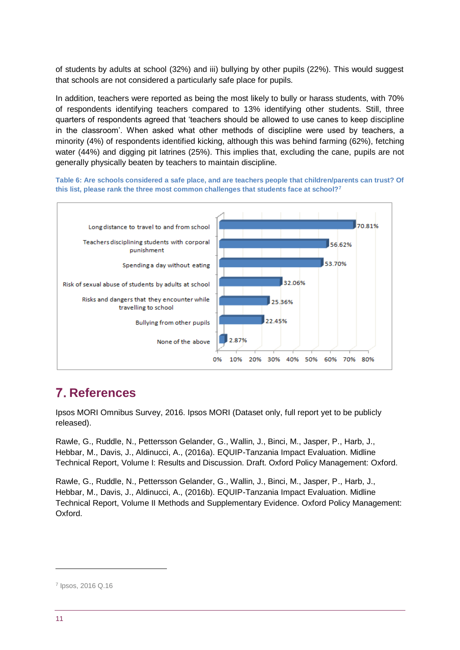of students by adults at school (32%) and iii) bullying by other pupils (22%). This would suggest that schools are not considered a particularly safe place for pupils.

In addition, teachers were reported as being the most likely to bully or harass students, with 70% of respondents identifying teachers compared to 13% identifying other students. Still, three quarters of respondents agreed that 'teachers should be allowed to use canes to keep discipline in the classroom'. When asked what other methods of discipline were used by teachers, a minority (4%) of respondents identified kicking, although this was behind farming (62%), fetching water (44%) and digging pit latrines (25%). This implies that, excluding the cane, pupils are not generally physically beaten by teachers to maintain discipline.

**Table 6: Are schools considered a safe place, and are teachers people that children/parents can trust? Of this list, please rank the three most common challenges that students face at school?<sup>7</sup>**



# <span id="page-10-0"></span>**References**

Ipsos MORI Omnibus Survey, 2016. Ipsos MORI (Dataset only, full report yet to be publicly released).

Rawle, G., Ruddle, N., Pettersson Gelander, G., Wallin, J., Binci, M., Jasper, P., Harb, J., Hebbar, M., Davis, J., Aldinucci, A., (2016a). EQUIP-Tanzania Impact Evaluation. Midline Technical Report, Volume I: Results and Discussion. Draft. Oxford Policy Management: Oxford.

Rawle, G., Ruddle, N., Pettersson Gelander, G., Wallin, J., Binci, M., Jasper, P., Harb, J., Hebbar, M., Davis, J., Aldinucci, A., (2016b). EQUIP-Tanzania Impact Evaluation. Midline Technical Report, Volume II Methods and Supplementary Evidence. Oxford Policy Management: Oxford.

-

<sup>7</sup> Ipsos, 2016 Q.16